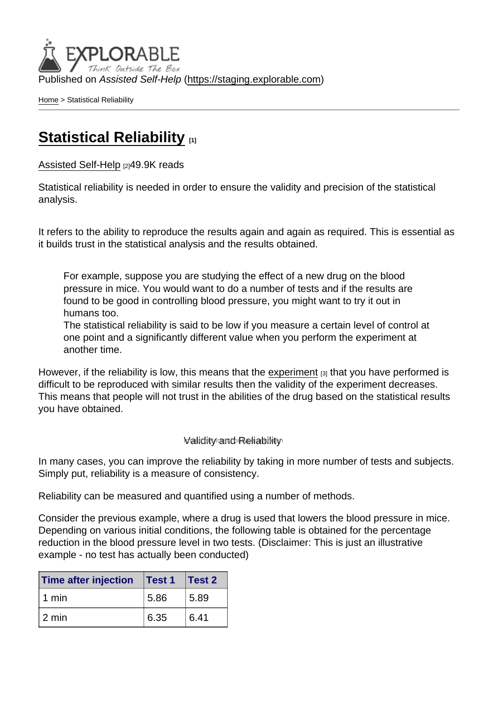Published on Assisted Self-Help [\(https://staging.explorable.com](https://staging.explorable.com))

[Home](https://staging.explorable.com/en) > Statistical Reliability

## [Statistical Reliability](https://staging.explorable.com/en/statistical-reliability) [1]

[Assisted Self-Help](https://staging.explorable.com/en) [2]49.9K reads

Statistical reliability is needed in order to ensure the validity and precision of the statistical analysis.

It refers to the ability to reproduce the results again and again as required. This is essential as it builds trust in the statistical analysis and the results obtained.

For example, suppose you are studying the effect of a new drug on the blood pressure in mice. You would want to do a number of tests and if the results are found to be good in controlling blood pressure, you might want to try it out in humans too.

The statistical reliability is said to be low if you measure a certain level of control at one point and a significantly different value when you perform the experiment at another time.

However, if the reliability is low, this means that the [experiment](https://staging.explorable.com/experimental-research)  $[3]$  that you have performed is difficult to be reproduced with similar results then the validity of the experiment decreases. This means that people will not trust in the abilities of the drug based on the statistical results you have obtained.

## **Validity and Reliability**

In many cases, you can improve the reliability by taking in more number of tests and subjects. Simply put, reliability is a measure of consistency.

Reliability can be measured and quantified using a number of methods.

Consider the previous example, where a drug is used that lowers the blood pressure in mice. Depending on various initial conditions, the following table is obtained for the percentage reduction in the blood pressure level in two tests. (Disclaimer: This is just an illustrative example - no test has actually been conducted)

| Time after injection | Test 1 | Test 2 |
|----------------------|--------|--------|
| 1 min                | 5.86   | 5.89   |
| l 2 min              | 6.35   | 6.41   |